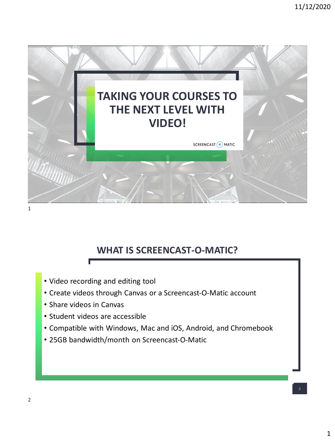

## **WHAT IS SCREENCAST-O-MATIC?**

- Video recording and editing tool
- Create videos through Canvas or a Screencast-O-Matic account
- Share videos in Canvas
- Student videos are accessible
- Compatible with Windows, Mac and iOS, Android, and Chromebook
- 25GB bandwidth/month on Screencast-O-Matic

2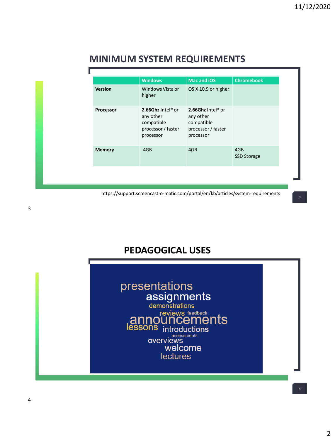| <b>MINIMUM SYSTEM REQUIREMENTS</b> |  |  |  |
|------------------------------------|--|--|--|
|------------------------------------|--|--|--|

|                | <b>Windows</b>                                                                  | <b>Mac and iOS</b>                                                              | <b>Chromebook</b>         |
|----------------|---------------------------------------------------------------------------------|---------------------------------------------------------------------------------|---------------------------|
| <b>Version</b> | Windows Vista or<br>higher                                                      | OS X 10.9 or higher                                                             |                           |
| Processor      | 2.66Ghz Intel® or<br>any other<br>compatible<br>processor / faster<br>processor | 2.66Ghz Intel® or<br>any other<br>compatible<br>processor / faster<br>processor |                           |
| <b>Memory</b>  | 4GB                                                                             | 4GB                                                                             | 4GB<br><b>SSD Storage</b> |

https://support.screencast-o-matic.com/portal/en/kb/articles/system-requirements

## **PEDAGOGICAL USES**

| presentations<br>assignments<br>demonstrations<br><b>announcements</b><br>lessons introductions<br>assessments<br>welcome<br>lectures |  |
|---------------------------------------------------------------------------------------------------------------------------------------|--|
|---------------------------------------------------------------------------------------------------------------------------------------|--|

3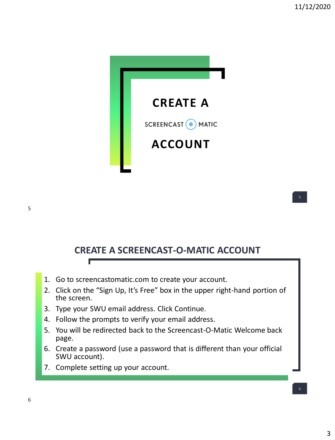

## **CREATE A SCREENCAST-O-MATIC ACCOUNT**

- 1. Go to screencastomatic.com to create your account.
- 2. Click on the "Sign Up, It's Free" box in the upper right-hand portion of the screen.
- 3. Type your SWU email address. Click Continue.
- 4. Follow the prompts to verify your email address.
- 5. You will be redirected back to the Screencast-O-Matic Welcome back page.
- 6. Create a password (use a password that is different than your official SWU account).
- 7. Complete setting up your account.

Г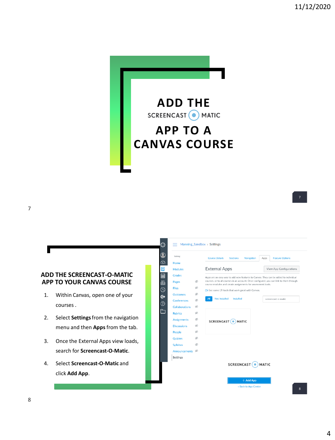7



#### **ADD THE SCREENCAST-O-MATIC APP TO YOUR CANVAS COURSE**

- 1. Within Canvas, open one of your courses .
- 2. Select **Settings**from the navigation menu and then **Apps**from the tab.
- 3. Once the External Apps view loads, search for **Screencast-O-Matic**.
- 4. Select **Screencast-O-Matic** and click **Add App**.

| Training                   |                      | <b>Course Details</b><br><b>Sections</b>                                                                                                               | <b>Navigation</b> | Apps                    | <b>Feature Options</b> |  |
|----------------------------|----------------------|--------------------------------------------------------------------------------------------------------------------------------------------------------|-------------------|-------------------------|------------------------|--|
| Home                       |                      |                                                                                                                                                        |                   |                         |                        |  |
| Modules                    | <b>External Apps</b> |                                                                                                                                                        |                   | View App Configurations |                        |  |
| <b>Grades</b>              |                      | Apps are an easy way to add new features to Canvas. They can be added to individual                                                                    |                   |                         |                        |  |
| Pages                      | B                    | courses, or to all courses in an account. Once configured, you can link to them through<br>course modules and create assignments for assessment tools. |                   |                         |                        |  |
| <b>Files</b>               | Ø                    | See some LTI tools that work great with Canvas.                                                                                                        |                   |                         |                        |  |
| <b>Outcomes</b>            | B                    |                                                                                                                                                        |                   |                         |                        |  |
| Conferences                | B                    | <b>Not Installed</b><br>All<br>Installed                                                                                                               |                   |                         | screencast-o-matic     |  |
| Collaborations             | Ø                    |                                                                                                                                                        |                   |                         |                        |  |
| <b>Rubrics</b>             | E                    |                                                                                                                                                        |                   |                         |                        |  |
| <b>Assignments</b>         | E                    | <b>SCREENCAST</b>                                                                                                                                      | MATIC             |                         |                        |  |
| <b>Discussions</b>         | Ø                    |                                                                                                                                                        |                   |                         |                        |  |
| People                     | Ø                    |                                                                                                                                                        |                   |                         |                        |  |
| Quizzes                    | Ø                    |                                                                                                                                                        |                   |                         |                        |  |
| Syllabus                   | Ø                    |                                                                                                                                                        |                   |                         |                        |  |
| Announcements <sup>®</sup> |                      |                                                                                                                                                        |                   |                         |                        |  |
| Settings                   |                      |                                                                                                                                                        |                   |                         |                        |  |
|                            |                      | SCREENCAST <sup>(</sup><br><b>MATIC</b>                                                                                                                |                   |                         |                        |  |
|                            |                      |                                                                                                                                                        |                   |                         |                        |  |
|                            |                      |                                                                                                                                                        |                   |                         |                        |  |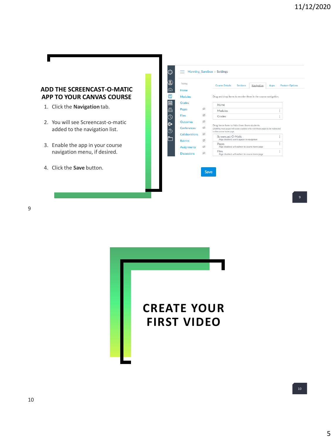### **ADD THE SCREENCAST-O-MATIC APP TO YOUR CANVAS COURSE**

- 1. Click the **Navigation** tab.
- 2. You will see Screencast-o-matic added to the navigation list.
- 3. Enable the app in your course navigation menu, if desired.
- 4. Click the **Save** button.





9

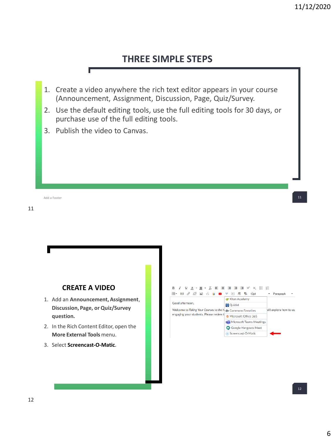## **THREE SIMPLE STEPS**

- 1. Create a video anywhere the rich text editor appears in your course (Announcement, Assignment, Discussion, Page, Quiz/Survey.
- 2. Use the default editing tools, use the full editing tools for 30 days, or purchase use of the full editing tools.
- 3. Publish the video to Canvas.

11 Add a Footer **11** and the control of the control of the control of the control of the control of the control of the control of the control of the control of the control of the control of the control of the control of the c

11

## **CREATE A VIDEO**

- 1. Add an **Announcement, Assignment**, **Discussion, Page, or Quiz/Survey question.**
- 2. In the Rich Content Editor, open the **More External Tools** menu.
- 3. Select **Screencast-O-Matic**.

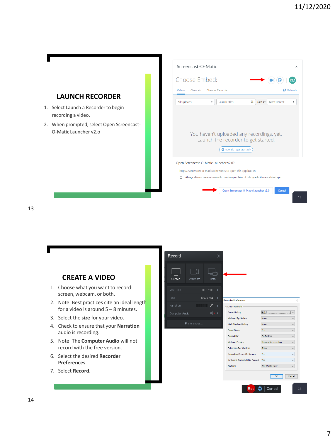

13



14

 $\overline{\mathbf{x}}$ 

 $\overline{1}$ 

 $\checkmark$ 

 $\overline{\phantom{0}}$ 

 $\checkmark$ 

 $\backsim$ 

 $\backsim$ 

 $\checkmark$ 

 $\checkmark$ 

 $_{\small \vee}$ 

 $\backsim$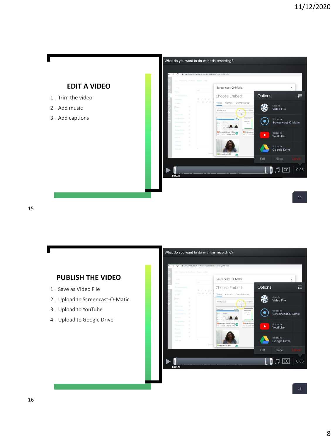



- 1. Save as Video File
- 2. Upload to Screencast-O-Matic
- 3. Upload to YouTube
- 4. Upload to Google Drive